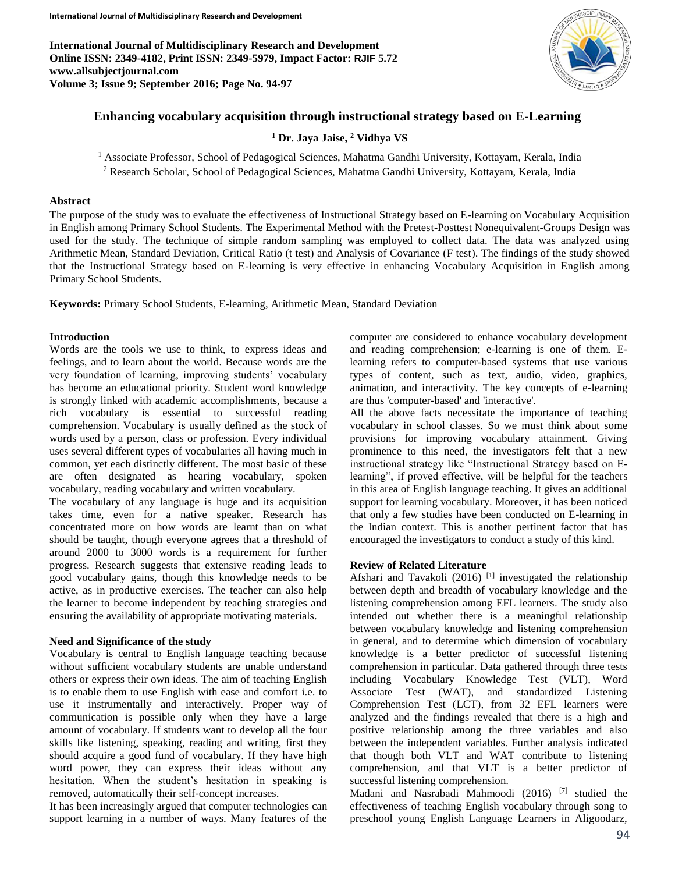**International Journal of Multidisciplinary Research and Development Online ISSN: 2349-4182, Print ISSN: 2349-5979, Impact Factor: RJIF 5.72 www.allsubjectjournal.com Volume 3; Issue 9; September 2016; Page No. 94-97**



# **Enhancing vocabulary acquisition through instructional strategy based on E-Learning**

**<sup>1</sup> Dr. Jaya Jaise, <sup>2</sup> Vidhya VS**

<sup>1</sup> Associate Professor, School of Pedagogical Sciences, Mahatma Gandhi University, Kottayam, Kerala, India

<sup>2</sup> Research Scholar, School of Pedagogical Sciences, Mahatma Gandhi University, Kottayam, Kerala, India

### **Abstract**

The purpose of the study was to evaluate the effectiveness of Instructional Strategy based on E-learning on Vocabulary Acquisition in English among Primary School Students. The Experimental Method with the Pretest-Posttest Nonequivalent-Groups Design was used for the study. The technique of simple random sampling was employed to collect data. The data was analyzed using Arithmetic Mean, Standard Deviation, Critical Ratio (t test) and Analysis of Covariance (F test). The findings of the study showed that the Instructional Strategy based on E-learning is very effective in enhancing Vocabulary Acquisition in English among Primary School Students.

**Keywords:** Primary School Students, E-learning, Arithmetic Mean, Standard Deviation

### **Introduction**

Words are the tools we use to think, to express ideas and feelings, and to learn about the world. Because words are the very foundation of learning, improving students' vocabulary has become an educational priority. Student word knowledge is strongly linked with academic accomplishments, because a rich vocabulary is essential to successful reading comprehension. Vocabulary is usually defined as the stock of words used by a person, class or profession. Every individual uses several different types of vocabularies all having much in common, yet each distinctly different. The most basic of these are often designated as hearing vocabulary, spoken vocabulary, reading vocabulary and written vocabulary.

The vocabulary of any language is huge and its acquisition takes time, even for a native speaker. Research has concentrated more on how words are learnt than on what should be taught, though everyone agrees that a threshold of around 2000 to 3000 words is a requirement for further progress. Research suggests that extensive reading leads to good vocabulary gains, though this knowledge needs to be active, as in productive exercises. The teacher can also help the learner to become independent by teaching strategies and ensuring the availability of appropriate motivating materials.

### **Need and Significance of the study**

Vocabulary is central to English language teaching because without sufficient vocabulary students are unable understand others or express their own ideas. The aim of teaching English is to enable them to use English with ease and comfort i.e. to use it instrumentally and interactively. Proper way of communication is possible only when they have a large amount of vocabulary. If students want to develop all the four skills like listening, speaking, reading and writing, first they should acquire a good fund of vocabulary. If they have high word power, they can express their ideas without any hesitation. When the student's hesitation in speaking is removed, automatically their self-concept increases.

It has been increasingly argued that computer technologies can support learning in a number of ways. Many features of the

computer are considered to enhance vocabulary development and reading comprehension; e-learning is one of them. Elearning refers to computer-based systems that use various types of content, such as text, audio, video, graphics, animation, and interactivity. The key concepts of e-learning are thus 'computer-based' and 'interactive'.

All the above facts necessitate the importance of teaching vocabulary in school classes. So we must think about some provisions for improving vocabulary attainment. Giving prominence to this need, the investigators felt that a new instructional strategy like "Instructional Strategy based on Elearning", if proved effective, will be helpful for the teachers in this area of English language teaching. It gives an additional support for learning vocabulary. Moreover, it has been noticed that only a few studies have been conducted on E-learning in the Indian context. This is another pertinent factor that has encouraged the investigators to conduct a study of this kind.

## **Review of Related Literature**

Afshari and Tavakoli (2016)<sup>[1]</sup> investigated the relationship between depth and breadth of vocabulary knowledge and the listening comprehension among EFL learners. The study also intended out whether there is a meaningful relationship between vocabulary knowledge and listening comprehension in general, and to determine which dimension of vocabulary knowledge is a better predictor of successful listening comprehension in particular. Data gathered through three tests including Vocabulary Knowledge Test (VLT), Word Associate Test (WAT), and standardized Listening Comprehension Test (LCT), from 32 EFL learners were analyzed and the findings revealed that there is a high and positive relationship among the three variables and also between the independent variables. Further analysis indicated that though both VLT and WAT contribute to listening comprehension, and that VLT is a better predictor of successful listening comprehension.

Madani and Nasrabadi Mahmoodi (2016) [7] studied the effectiveness of teaching English vocabulary through song to preschool young English Language Learners in Aligoodarz,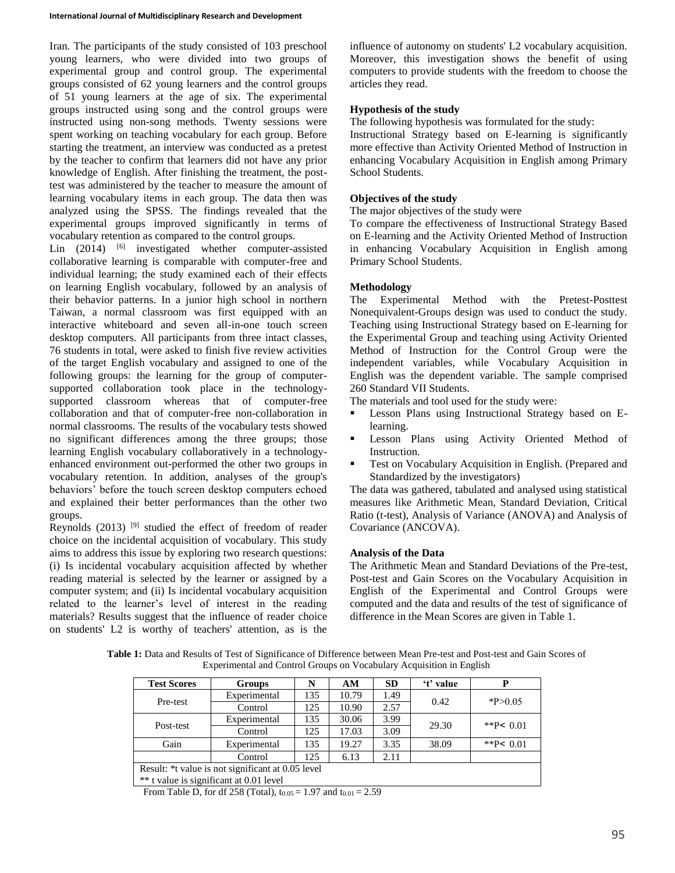Iran. The participants of the study consisted of 103 preschool young learners, who were divided into two groups of experimental group and control group. The experimental groups consisted of 62 young learners and the control groups of 51 young learners at the age of six. The experimental groups instructed using song and the control groups were instructed using non-song methods. Twenty sessions were spent working on teaching vocabulary for each group. Before starting the treatment, an interview was conducted as a pretest by the teacher to confirm that learners did not have any prior knowledge of English. After finishing the treatment, the posttest was administered by the teacher to measure the amount of learning vocabulary items in each group. The data then was analyzed using the SPSS. The findings revealed that the experimental groups improved significantly in terms of vocabulary retention as compared to the control groups.

Lin  $(2014)$  [6] investigated whether computer-assisted collaborative learning is comparable with computer-free and individual learning; the study examined each of their effects on learning English vocabulary, followed by an analysis of their behavior patterns. In a junior high school in northern Taiwan, a normal classroom was first equipped with an interactive whiteboard and seven all-in-one touch screen desktop computers. All participants from three intact classes, 76 students in total, were asked to finish five review activities of the target English vocabulary and assigned to one of the following groups: the learning for the group of computersupported collaboration took place in the technologysupported classroom whereas that of computer-free collaboration and that of computer-free non-collaboration in normal classrooms. The results of the vocabulary tests showed no significant differences among the three groups; those learning English vocabulary collaboratively in a technologyenhanced environment out-performed the other two groups in vocabulary retention. In addition, analyses of the group's behaviors' before the touch screen desktop computers echoed and explained their better performances than the other two groups.

Reynolds (2013)<sup>[9]</sup> studied the effect of freedom of reader choice on the incidental acquisition of vocabulary. This study aims to address this issue by exploring two research questions: (i) Is incidental vocabulary acquisition affected by whether reading material is selected by the learner or assigned by a computer system; and (ii) Is incidental vocabulary acquisition related to the learner's level of interest in the reading materials? Results suggest that the influence of reader choice on students' L2 is worthy of teachers' attention, as is the

influence of autonomy on students' L2 vocabulary acquisition. Moreover, this investigation shows the benefit of using computers to provide students with the freedom to choose the articles they read.

## **Hypothesis of the study**

The following hypothesis was formulated for the study:

Instructional Strategy based on E-learning is significantly more effective than Activity Oriented Method of Instruction in enhancing Vocabulary Acquisition in English among Primary School Students.

### **Objectives of the study**

The major objectives of the study were

To compare the effectiveness of Instructional Strategy Based on E-learning and the Activity Oriented Method of Instruction in enhancing Vocabulary Acquisition in English among Primary School Students.

### **Methodology**

The Experimental Method with the Pretest-Posttest Nonequivalent-Groups design was used to conduct the study. Teaching using Instructional Strategy based on E-learning for the Experimental Group and teaching using Activity Oriented Method of Instruction for the Control Group were the independent variables, while Vocabulary Acquisition in English was the dependent variable. The sample comprised 260 Standard VII Students.

The materials and tool used for the study were:

- **Lesson Plans using Instructional Strategy based on E**learning.
- **Lesson Plans using Activity Oriented Method of** Instruction.
- **Test on Vocabulary Acquisition in English. (Prepared and** Standardized by the investigators)

The data was gathered, tabulated and analysed using statistical measures like Arithmetic Mean, Standard Deviation, Critical Ratio (t-test), Analysis of Variance (ANOVA) and Analysis of Covariance (ANCOVA).

### **Analysis of the Data**

The Arithmetic Mean and Standard Deviations of the Pre-test, Post-test and Gain Scores on the Vocabulary Acquisition in English of the Experimental and Control Groups were computed and the data and results of the test of significance of difference in the Mean Scores are given in Table 1.

**Table 1:** Data and Results of Test of Significance of Difference between Mean Pre-test and Post-test and Gain Scores of Experimental and Control Groups on Vocabulary Acquisition in English

| <b>Test Scores</b>                                | <b>Groups</b> | N   | AM    | <b>SD</b> | 't' value | P               |  |  |
|---------------------------------------------------|---------------|-----|-------|-----------|-----------|-----------------|--|--|
| Pre-test                                          | Experimental  | 135 | 10.79 | 1.49      | 0.42      | $*P>0.05$       |  |  |
|                                                   | Control       | 125 | 10.90 | 2.57      |           |                 |  |  |
| Post-test                                         | Experimental  | 135 | 30.06 | 3.99      | 29.30     | ** $P \le 0.01$ |  |  |
|                                                   | Control       | 125 | 17.03 | 3.09      |           |                 |  |  |
| Gain                                              | Experimental  | 135 | 19.27 | 3.35      | 38.09     | ** $P \le 0.01$ |  |  |
|                                                   | Control       | 125 | 6.13  | 2.11      |           |                 |  |  |
| Result: *t value is not significant at 0.05 level |               |     |       |           |           |                 |  |  |
| ** t value is significant at 0.01 level           |               |     |       |           |           |                 |  |  |

From Table D, for df 258 (Total),  $t_{0.05} = 1.97$  and  $t_{0.01} = 2.59$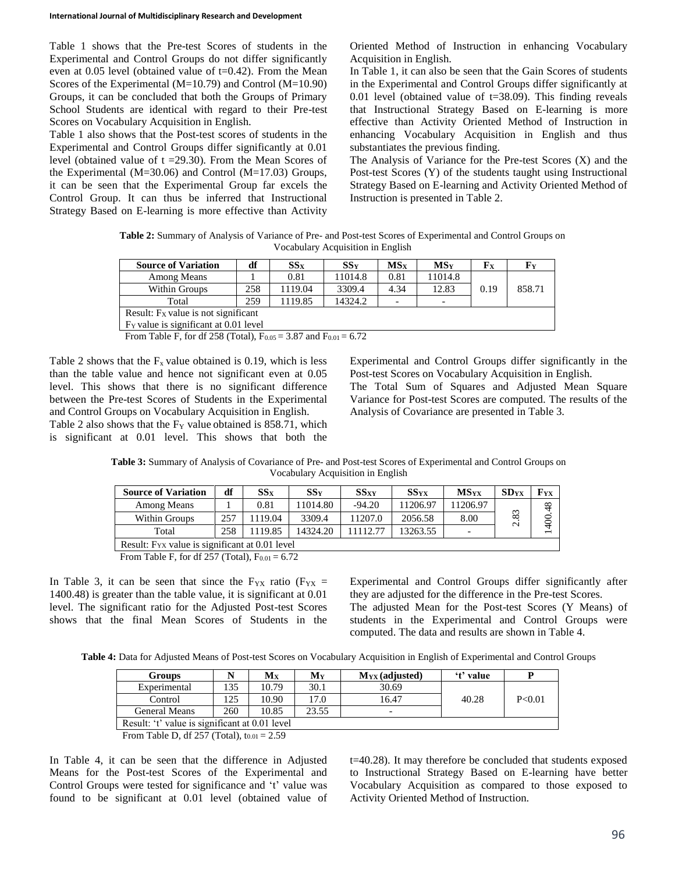Table 1 shows that the Pre-test Scores of students in the Experimental and Control Groups do not differ significantly even at 0.05 level (obtained value of t=0.42). From the Mean Scores of the Experimental (M=10.79) and Control (M=10.90) Groups, it can be concluded that both the Groups of Primary School Students are identical with regard to their Pre-test Scores on Vocabulary Acquisition in English.

Table 1 also shows that the Post-test scores of students in the Experimental and Control Groups differ significantly at 0.01 level (obtained value of  $t = 29.30$ ). From the Mean Scores of the Experimental ( $M=30.06$ ) and Control ( $M=17.03$ ) Groups, it can be seen that the Experimental Group far excels the Control Group. It can thus be inferred that Instructional Strategy Based on E-learning is more effective than Activity Oriented Method of Instruction in enhancing Vocabulary Acquisition in English.

In Table 1, it can also be seen that the Gain Scores of students in the Experimental and Control Groups differ significantly at 0.01 level (obtained value of  $t=38.09$ ). This finding reveals that Instructional Strategy Based on E-learning is more effective than Activity Oriented Method of Instruction in enhancing Vocabulary Acquisition in English and thus substantiates the previous finding.

The Analysis of Variance for the Pre-test Scores (X) and the Post-test Scores (Y) of the students taught using Instructional Strategy Based on E-learning and Activity Oriented Method of Instruction is presented in Table 2.

**Table 2:** Summary of Analysis of Variance of Pre- and Post-test Scores of Experimental and Control Groups on Vocabulary Acquisition in English

| <b>Source of Variation</b>                        | df  | $SS_{X}$ | SSv     | MS <sub>x</sub>          | MS <sub>V</sub>          | ${\bf F}_{\bf X}$ | ${\bf F}_{\bf Y}$ |  |
|---------------------------------------------------|-----|----------|---------|--------------------------|--------------------------|-------------------|-------------------|--|
| Among Means                                       |     | 0.81     | 11014.8 | 0.81                     | 11014.8                  |                   |                   |  |
| Within Groups                                     | 258 | 1119.04  | 3309.4  | 4.34                     | 12.83                    | 0.19              | 858.71            |  |
| Total                                             | 259 | 1119.85  | 14324.2 | $\overline{\phantom{0}}$ | $\overline{\phantom{0}}$ |                   |                   |  |
| Result: Fx value is not significant               |     |          |         |                          |                          |                   |                   |  |
| F <sub>Y</sub> value is significant at 0.01 level |     |          |         |                          |                          |                   |                   |  |

From Table F, for df 258 (Total),  $F_{0.05} = 3.87$  and  $F_{0.01} = 6.72$ 

Table 2 shows that the  $F_x$  value obtained is 0.19, which is less than the table value and hence not significant even at 0.05 level. This shows that there is no significant difference between the Pre-test Scores of Students in the Experimental and Control Groups on Vocabulary Acquisition in English.

Table 2 also shows that the  $F<sub>Y</sub>$  value obtained is 858.71, which is significant at 0.01 level. This shows that both the Experimental and Control Groups differ significantly in the Post-test Scores on Vocabulary Acquisition in English. The Total Sum of Squares and Adjusted Mean Square Variance for Post-test Scores are computed. The results of the Analysis of Covariance are presented in Table 3.

**Table 3:** Summary of Analysis of Covariance of Pre- and Post-test Scores of Experimental and Control Groups on Vocabulary Acquisition in English

| <b>Source of Variation</b>                                 | df  | $SS_{X}$ | SSv      | $SS_{XY}$ | $SS_{YX}$ | <b>MS</b> <sub>vx</sub>  | SD <sub>YX</sub> | Fvx   |
|------------------------------------------------------------|-----|----------|----------|-----------|-----------|--------------------------|------------------|-------|
| Among Means                                                |     | 0.81     | 11014.80 | $-94.20$  | 11206.97  | 11206.97                 |                  | 48    |
| Within Groups                                              | 257 | 119.04   | 3309.4   | 11207.0   | 2056.58   | 8.00                     | 83<br>$\sim$     | 1400. |
| Total                                                      | 258 | 1119.85  | 14324.20 | 11112.77  | 13263.55  | $\overline{\phantom{0}}$ |                  |       |
| Result: F <sub>YX</sub> value is significant at 0.01 level |     |          |          |           |           |                          |                  |       |
| From Table F, for df 257 (Total), $F_{0.01} = 6.72$        |     |          |          |           |           |                          |                  |       |

In Table 3, it can be seen that since the  $F_{YX}$  ratio ( $F_{YX}$  = 1400.48) is greater than the table value, it is significant at 0.01 level. The significant ratio for the Adjusted Post-test Scores shows that the final Mean Scores of Students in the

Experimental and Control Groups differ significantly after they are adjusted for the difference in the Pre-test Scores.

The adjusted Mean for the Post-test Scores (Y Means) of students in the Experimental and Control Groups were computed. The data and results are shown in Table 4.

**Table 4:** Data for Adjusted Means of Post-test Scores on Vocabulary Acquisition in English of Experimental and Control Groups

| <b>Groups</b>                                                                                                                                                                                                                                                                                                                                                                         | N   | Mx    | My    | $M_{YX}$ (adjusted)      | 't' value |          |  |
|---------------------------------------------------------------------------------------------------------------------------------------------------------------------------------------------------------------------------------------------------------------------------------------------------------------------------------------------------------------------------------------|-----|-------|-------|--------------------------|-----------|----------|--|
| Experimental                                                                                                                                                                                                                                                                                                                                                                          | 35  | 10.79 | 30.1  | 30.69                    |           |          |  |
| Control                                                                                                                                                                                                                                                                                                                                                                               | 125 | 10.90 | 17.0  | 16.47                    | 40.28     | P < 0.01 |  |
| General Means                                                                                                                                                                                                                                                                                                                                                                         | 260 | 10.85 | 23.55 | $\overline{\phantom{0}}$ |           |          |  |
| Result: 't' value is significant at 0.01 level                                                                                                                                                                                                                                                                                                                                        |     |       |       |                          |           |          |  |
| $F_{\text{max}}$ $T_{\text{min}}$ $T_{\text{max}}$ $T_{\text{max}}$ $T_{\text{max}}$ $T_{\text{max}}$ $T_{\text{max}}$ $T_{\text{max}}$ $T_{\text{max}}$ $T_{\text{max}}$ $T_{\text{max}}$ $T_{\text{max}}$ $T_{\text{max}}$ $T_{\text{max}}$ $T_{\text{max}}$ $T_{\text{max}}$ $T_{\text{max}}$ $T_{\text{max}}$ $T_{\text{max}}$ $T_{\text{max}}$ $T_{\text{max}}$ $T_{\text{max}}$ |     |       |       |                          |           |          |  |

From Table D, df  $257$  (Total), t<sub>0.01</sub> = 2.59

In Table 4, it can be seen that the difference in Adjusted Means for the Post-test Scores of the Experimental and Control Groups were tested for significance and 't' value was found to be significant at 0.01 level (obtained value of t=40.28). It may therefore be concluded that students exposed to Instructional Strategy Based on E-learning have better Vocabulary Acquisition as compared to those exposed to Activity Oriented Method of Instruction.